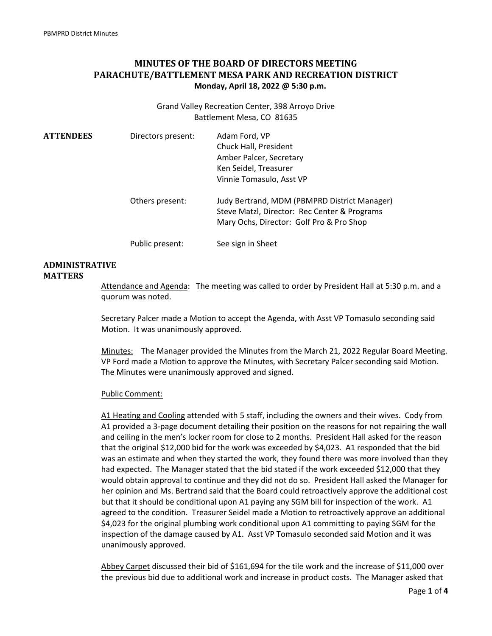# **MINUTES OF THE BOARD OF DIRECTORS MEETING PARACHUTE/BATTLEMENT MESA PARK AND RECREATION DISTRICT Monday, April 18, 2022 @ 5:30 p.m.**

Grand Valley Recreation Center, 398 Arroyo Drive Battlement Mesa, CO 81635

| <b>ATTENDEES</b> | Directors present: | Adam Ford, VP<br>Chuck Hall, President<br>Amber Palcer, Secretary<br>Ken Seidel, Treasurer<br>Vinnie Tomasulo, Asst VP                   |
|------------------|--------------------|------------------------------------------------------------------------------------------------------------------------------------------|
|                  | Others present:    | Judy Bertrand, MDM (PBMPRD District Manager)<br>Steve Matzl, Director: Rec Center & Programs<br>Mary Ochs, Director: Golf Pro & Pro Shop |
|                  | Public present:    | See sign in Sheet                                                                                                                        |

#### **ADMINISTRATIVE MATTERS**

# Attendance and Agenda: The meeting was called to order by President Hall at 5:30 p.m. and a quorum was noted.

Secretary Palcer made a Motion to accept the Agenda, with Asst VP Tomasulo seconding said Motion. It was unanimously approved.

Minutes: The Manager provided the Minutes from the March 21, 2022 Regular Board Meeting. VP Ford made a Motion to approve the Minutes, with Secretary Palcer seconding said Motion. The Minutes were unanimously approved and signed.

#### Public Comment:

A1 Heating and Cooling attended with 5 staff, including the owners and their wives. Cody from A1 provided a 3‐page document detailing their position on the reasons for not repairing the wall and ceiling in the men's locker room for close to 2 months. President Hall asked for the reason that the original \$12,000 bid for the work was exceeded by \$4,023. A1 responded that the bid was an estimate and when they started the work, they found there was more involved than they had expected. The Manager stated that the bid stated if the work exceeded \$12,000 that they would obtain approval to continue and they did not do so. President Hall asked the Manager for her opinion and Ms. Bertrand said that the Board could retroactively approve the additional cost but that it should be conditional upon A1 paying any SGM bill for inspection of the work. A1 agreed to the condition. Treasurer Seidel made a Motion to retroactively approve an additional \$4,023 for the original plumbing work conditional upon A1 committing to paying SGM for the inspection of the damage caused by A1. Asst VP Tomasulo seconded said Motion and it was unanimously approved.

Abbey Carpet discussed their bid of \$161,694 for the tile work and the increase of \$11,000 over the previous bid due to additional work and increase in product costs. The Manager asked that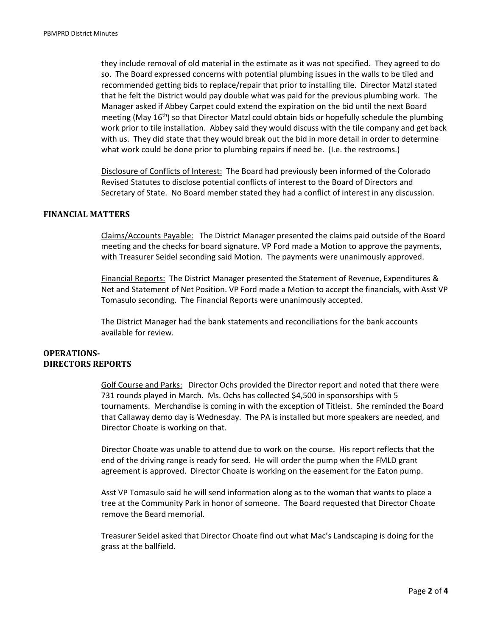they include removal of old material in the estimate as it was not specified. They agreed to do so. The Board expressed concerns with potential plumbing issues in the walls to be tiled and recommended getting bids to replace/repair that prior to installing tile. Director Matzl stated that he felt the District would pay double what was paid for the previous plumbing work. The Manager asked if Abbey Carpet could extend the expiration on the bid until the next Board meeting (May 16<sup>th</sup>) so that Director Matzl could obtain bids or hopefully schedule the plumbing work prior to tile installation. Abbey said they would discuss with the tile company and get back with us. They did state that they would break out the bid in more detail in order to determine what work could be done prior to plumbing repairs if need be. (I.e. the restrooms.)

Disclosure of Conflicts of Interest: The Board had previously been informed of the Colorado Revised Statutes to disclose potential conflicts of interest to the Board of Directors and Secretary of State. No Board member stated they had a conflict of interest in any discussion.

### **FINANCIAL MATTERS**

Claims/Accounts Payable: The District Manager presented the claims paid outside of the Board meeting and the checks for board signature. VP Ford made a Motion to approve the payments, with Treasurer Seidel seconding said Motion. The payments were unanimously approved.

Financial Reports: The District Manager presented the Statement of Revenue, Expenditures & Net and Statement of Net Position. VP Ford made a Motion to accept the financials, with Asst VP Tomasulo seconding. The Financial Reports were unanimously accepted.

The District Manager had the bank statements and reconciliations for the bank accounts available for review.

#### **OPERATIONS-DIRECTORS REPORTS**

Golf Course and Parks: Director Ochs provided the Director report and noted that there were 731 rounds played in March. Ms. Ochs has collected \$4,500 in sponsorships with 5 tournaments. Merchandise is coming in with the exception of Titleist. She reminded the Board that Callaway demo day is Wednesday. The PA is installed but more speakers are needed, and Director Choate is working on that.

Director Choate was unable to attend due to work on the course. His report reflects that the end of the driving range is ready for seed. He will order the pump when the FMLD grant agreement is approved. Director Choate is working on the easement for the Eaton pump.

Asst VP Tomasulo said he will send information along as to the woman that wants to place a tree at the Community Park in honor of someone. The Board requested that Director Choate remove the Beard memorial.

Treasurer Seidel asked that Director Choate find out what Mac's Landscaping is doing for the grass at the ballfield.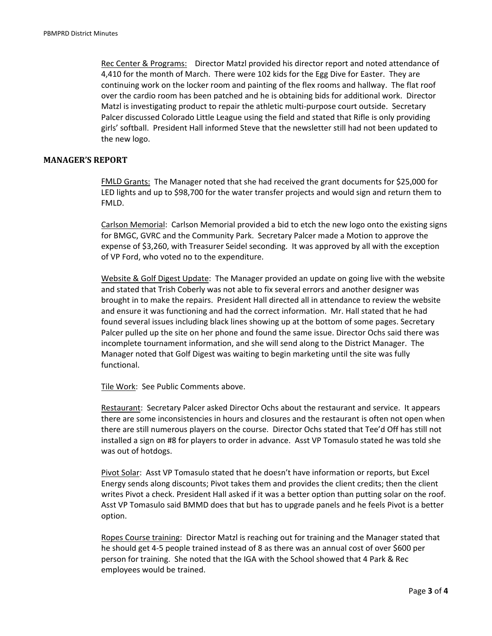Rec Center & Programs: Director Matzl provided his director report and noted attendance of 4,410 for the month of March. There were 102 kids for the Egg Dive for Easter. They are continuing work on the locker room and painting of the flex rooms and hallway. The flat roof over the cardio room has been patched and he is obtaining bids for additional work. Director Matzl is investigating product to repair the athletic multi-purpose court outside. Secretary Palcer discussed Colorado Little League using the field and stated that Rifle is only providing girls' softball. President Hall informed Steve that the newsletter still had not been updated to the new logo.

# **MANAGER'S REPORT**

 FMLD Grants: The Manager noted that she had received the grant documents for \$25,000 for LED lights and up to \$98,700 for the water transfer projects and would sign and return them to FMLD.

 Carlson Memorial: Carlson Memorial provided a bid to etch the new logo onto the existing signs for BMGC, GVRC and the Community Park. Secretary Palcer made a Motion to approve the expense of \$3,260, with Treasurer Seidel seconding. It was approved by all with the exception of VP Ford, who voted no to the expenditure.

 Website & Golf Digest Update: The Manager provided an update on going live with the website and stated that Trish Coberly was not able to fix several errors and another designer was brought in to make the repairs. President Hall directed all in attendance to review the website and ensure it was functioning and had the correct information. Mr. Hall stated that he had found several issues including black lines showing up at the bottom of some pages. Secretary Palcer pulled up the site on her phone and found the same issue. Director Ochs said there was incomplete tournament information, and she will send along to the District Manager. The Manager noted that Golf Digest was waiting to begin marketing until the site was fully functional.

Tile Work: See Public Comments above.

 Restaurant: Secretary Palcer asked Director Ochs about the restaurant and service. It appears there are some inconsistencies in hours and closures and the restaurant is often not open when there are still numerous players on the course. Director Ochs stated that Tee'd Off has still not installed a sign on #8 for players to order in advance. Asst VP Tomasulo stated he was told she was out of hotdogs.

Pivot Solar: Asst VP Tomasulo stated that he doesn't have information or reports, but Excel Energy sends along discounts; Pivot takes them and provides the client credits; then the client writes Pivot a check. President Hall asked if it was a better option than putting solar on the roof. Asst VP Tomasulo said BMMD does that but has to upgrade panels and he feels Pivot is a better option.

 Ropes Course training: Director Matzl is reaching out for training and the Manager stated that he should get 4‐5 people trained instead of 8 as there was an annual cost of over \$600 per person for training. She noted that the IGA with the School showed that 4 Park & Rec employees would be trained.